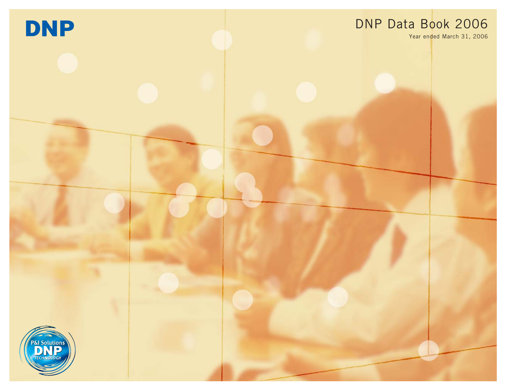

# DNP Data Book 2006

Year ended March 31, 2006

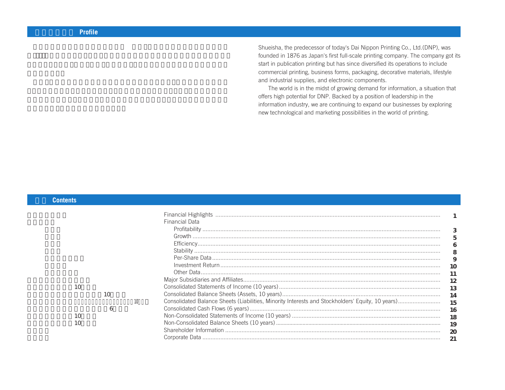Shueisha, the predecessor of today's Dai Nippon Printing Co., Ltd.(DNP), was founded in 1876 as Japan's first full-scale printing company. The company got its start in publication printing but has since diversified its operations to include commercial printing, business forms, packaging, decorative materials, lifestyle and industrial supplies, and electronic components.

The world is in the midst of growing demand for information, a situation that offers high potential for DNP. Backed by a position of leadership in the information industry, we are continuing to expand our businesses by exploring new technological and marketing possibilities in the world of printing.

#### **目次 Contents**

|    |              |                 | <b>Financial Highlights</b> |    |
|----|--------------|-----------------|-----------------------------|----|
|    |              |                 | <b>Financial Data</b>       |    |
|    |              |                 |                             |    |
|    |              |                 |                             | 5  |
|    |              |                 |                             |    |
|    |              |                 |                             | 8  |
|    |              |                 |                             | 9  |
|    |              |                 |                             |    |
|    |              |                 |                             |    |
|    |              |                 |                             | 12 |
| 10 |              |                 |                             | 13 |
|    | 10           |                 |                             | 14 |
|    |              | 10 <sup>°</sup> |                             |    |
|    | <sub>6</sub> |                 |                             |    |
|    |              |                 |                             | 16 |
| 10 |              |                 |                             | 18 |
|    |              |                 |                             | 19 |
|    |              |                 |                             |    |
|    |              |                 |                             |    |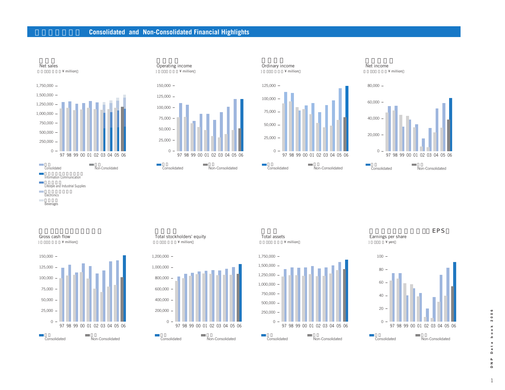### **Consolidated and Non-Consolidated Financial Highlights**













**Electronics Beverages** 



**Total stockholders' equity** ¥ million



**Total assets** ¥ million







 $\mathbf{1}$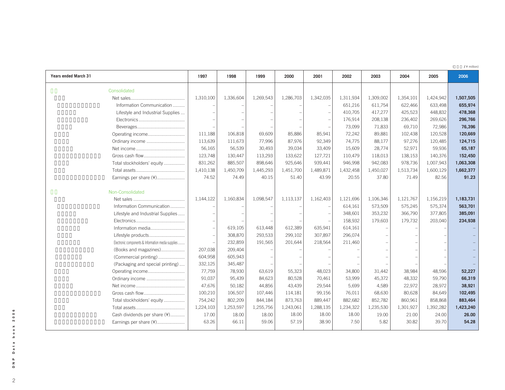(**百万円 /** ¥ million)

| <b>Years ended March 31</b>                        | 1997      | 1998      | 1999      | 2000      | 2001      | 2002      | 2003      | 2004      | 2005      | 2006      |
|----------------------------------------------------|-----------|-----------|-----------|-----------|-----------|-----------|-----------|-----------|-----------|-----------|
| Consolidated                                       |           |           |           |           |           |           |           |           |           |           |
|                                                    | 1,310,100 | 1,336,604 | 1,269,543 | 1,286,703 | 1,342,035 | 1,311,934 | 1,309,002 | 1,354,101 | 1,424,942 | 1,507,505 |
| Information Communication                          |           |           |           |           |           | 651,216   | 611,754   | 622,466   | 633,498   | 655,974   |
| Lifestyle and Industrial Supplies                  |           |           |           |           |           | 410,705   | 417,277   | 425,523   | 448,832   | 478,368   |
|                                                    |           |           |           |           |           | 176,914   | 208,138   | 236,402   | 269,626   | 296,766   |
|                                                    |           |           |           |           |           | 73,099    | 71,833    | 69,710    | 72,986    | 76,396    |
| Operating income                                   | 111,188   | 106,818   | 69,609    | 85,886    | 85,941    | 72,242    | 89,881    | 102,438   | 120,528   | 120,669   |
| Ordinary income                                    | 113,639   | 111,673   | 77,996    | 87,976    | 92,349    | 74,775    | 88,177    | 97,276    | 120,485   | 124,715   |
|                                                    | 56,165    | 56,539    | 30,493    | 39,034    | 33,409    | 15,609    | 28,774    | 52,971    | 59,936    | 65,187    |
|                                                    | 123,748   | 130,447   | 113,293   | 133,622   | 127,721   | 110,479   | 118,013   | 138,153   | 140,376   | 152,450   |
| Total stockholders' equity                         | 831,262   | 885,507   | 898,646   | 925,646   | 939,441   | 946,998   | 942,083   | 978,736   | 1,007,943 | 1,063,308 |
|                                                    | 1,410,138 | 1,450,709 | 1,445,293 | 1,451,700 | 1,489,871 | 1,432,458 | 1,450,027 | 1,513,734 | 1,600,129 | 1,662,377 |
| Earnings per share (¥)                             | 74.52     | 74.49     | 40.15     | 51.40     | 43.99     | 20.55     | 37.80     | 71.49     | 82.56     | 91.23     |
|                                                    |           |           |           |           |           |           |           |           |           |           |
| Non-Consolidated                                   |           |           |           |           |           |           |           |           |           |           |
|                                                    | 1,144,122 | 1,160,834 | 1,098,547 | 1,113,137 | 1,162,403 | 1,121,696 | 1,106,346 | 1,121,767 | 1,156,219 | 1,183,731 |
| Information Communication                          |           |           |           |           |           | 614,161   | 573,509   | 575,245   | 575,374   | 563,701   |
| Lifestyle and Industrial Supplies                  |           |           |           |           |           | 348,601   | 353,232   | 366,790   | 377,805   | 385,091   |
|                                                    |           |           |           |           |           | 158,932   | 179,603   | 179.732   | 203,040   | 234,938   |
| Information media                                  |           | 619,105   | 613,448   | 612,389   | 635,941   | 614,161   |           |           |           |           |
| Lifestyle products                                 |           | 308,870   | 293,533   | 299,102   | 307,897   | 296,074   |           |           |           |           |
| Electronic components & Information media supplies |           | 232,859   | 191,565   | 201,644   | 218,564   | 211,460   |           |           |           |           |
| (Books and magazines)                              | 207,038   | 209,404   |           |           |           |           |           |           |           |           |
| (Commercial printing)                              | 604,958   | 605,943   |           |           |           |           |           |           |           |           |
| (Packaging and special printing)                   | 332,125   | 345,487   |           |           |           |           |           |           |           |           |
| Operating income                                   | 77,759    | 78,930    | 63,619    | 55,323    | 48,023    | 34,800    | 31,442    | 38,984    | 48,596    | 52,227    |
| Ordinary income                                    | 91,037    | 95,439    | 84,623    | 80,528    | 70,461    | 53,999    | 45,372    | 48,332    | 59,790    | 66,319    |
|                                                    | 47,676    | 50,182    | 44,856    | 43,439    | 29,544    | 5,699     | 4,589     | 22,972    | 28,972    | 38,921    |
| Gross cash flow                                    | 100,210   | 106,507   | 107,446   | 114,181   | 99,156    | 76,011    | 68,630    | 80,628    | 84,649    | 102,495   |
| Total stockholders' equity                         | 754,242   | 802,209   | 844,184   | 873,763   | 889,447   | 882,682   | 852,782   | 860,961   | 858,868   | 883,464   |
|                                                    | 1,224,103 | 1,253,597 | 1,255,756 | 1,243,061 | 1,288,135 | 1,234,322 | 1,235,530 | 1,301,927 | 1,392,282 | 1,423,240 |
| Cash dividends per share (¥)                       | 17.00     | 18.00     | 18.00     | 18.00     | 18.00     | 18.00     | 19.00     | 21.00     | 24.00     | 26.00     |
| Earnings per share (¥)                             | 63.26     | 66.11     | 59.06     | 57.19     | 38.90     | 7.50      | 5.82      | 30.82     | 39.70     | 54.28     |
|                                                    |           |           |           |           |           |           |           |           |           |           |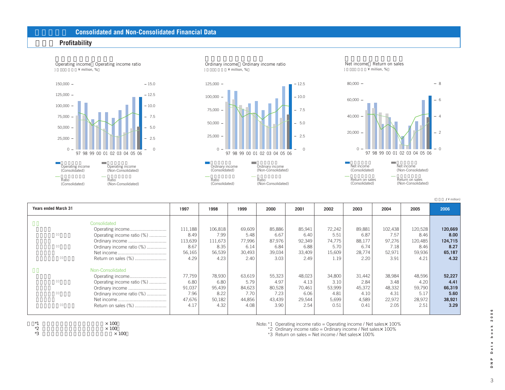#### **財務データ Consolidated and Non-Consolidated Financial Data**

#### **収益性 Profitability**







Net income Return on sales

(**百万円 /** ¥ million)

**Years ended March 31 2006** 72,242 5.51 74,775 5.70 15,609 1.19 34,800 3.10 53,999 4.81 5,699 0.51 111,188 8.49 113,639 8.67 56,165 4.29 77,759 6.80 91,037 7.96 47,676 4.17 106,818 7.99 111,673 8.35 56,539 4.23 78,930 6.80 95,439 8.22 50,182 4.32 69,609 5.48 77,996 6.14 30,493 2.40 63,619 5.79 84,623 7.70 44,856 4.08 85,886 6.67 87,976 6.84 39,034 3.03 55,323 4.97 80,528 7.23 43,439 3.90 85,941 6.40 92,349 6.88 33,409 2.49 48,023 4.13 70,461 6.06 29,544 2.54 Consolidated Operating income............................ Operating income ratio (%) ............. Ordinary income ............................. Ordinary income ratio (%) ............... Net income..................................... Return on sales (%) ......................... Non-Consolidated Operating income............................ Operating income ratio (%) ............. Ordinary income ............................. Ordinary income ratio (%) ............... Net income..................................... Return on sales (%) ........................ **1997 1998 1999 2000 2001 2002 2003 2004** 89,881 6.87 88,177 6.74 28,774 2.20 31,442 2.84 45,372 4.10 4,589 0.41 102,438 7.57 97,276 7.18 52,971 3.91 38,984 3.48 48,332 4.31 22,972 2.05 **2005** 120,528 8.46 120,485 8.46 59,936 4.21 48,596 4.20 59,790 5.17 28,972 2.51 **120,669 8.00 124,715 8.27 65,187 4.32 52,227 4.41 66,319 5.60 38,921 3.29**





Note:\*1 Operating income ratio = Operating income / Net sales×100%

 $*2$  Ordinary income ratio = Ordinary income / Net sales $\times$  100%

\*3 Return on sales = Net income / Net sales $\times$  100%

 $\overline{3}$ 

 $\circ$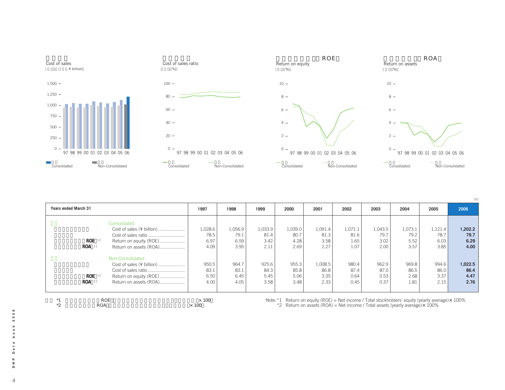

| <b>Years ended March 31</b> |            |                           | 1997         | 1998    | 1999    | 2000    | 2001    | 2002    | 2003    | 2004    | 2005                                                                                                | 2006    |
|-----------------------------|------------|---------------------------|--------------|---------|---------|---------|---------|---------|---------|---------|-----------------------------------------------------------------------------------------------------|---------|
|                             |            | Consolidated              |              |         |         |         |         |         |         |         |                                                                                                     |         |
|                             |            | Cost of sales (¥ billion) | 1,028.6      | 1,056.9 | 1,033.9 | 1,039.0 | 1,091.4 | 1,071.1 | 1,043.5 | 1,073.1 | 1,121.4                                                                                             | 1,202.2 |
|                             |            |                           | 78.5         | 79.1    | 81.4    | 80.7    | 81.3    | 81.6    | 79.7    | 79.2    | 78.7                                                                                                | 79.7    |
|                             | ROE        | Return on equity (ROE)    | 6.97         | 6.59    | 3.42    | 4.28    | 3.58    | 1.65    | 3.02    | 5.52    | 6.03                                                                                                | 6.29    |
|                             | <b>ROA</b> | Return on assets (ROA)    | 4.09         | 3.95    | 2.11    | 2.69    | 2.27    | 1.07    | 2.00    | 3.57    | 3.85                                                                                                | 4.00    |
|                             |            | Non-Consolidated          |              |         |         |         |         |         |         |         |                                                                                                     |         |
|                             |            | Cost of sales (¥ billion) | 950.5        | 964.7   | 925.6   | 955.3   | 1,008.5 | 980.4   | 962.9   | 969.8   | 994.6                                                                                               | 1,022.5 |
|                             |            |                           | 83.1         | 83.1    | 84.3    | 85.8    | 86.8    | 87.4    | 87.0    | 86.5    | 86.0                                                                                                | 86.4    |
|                             | <b>ROE</b> | Return on equity (ROE)    | 6.50         | 6.45    | 5.45    | 5.06    | 3.35    | 0.64    | 0.53    | 2.68    | 3.37                                                                                                | 4.47    |
|                             | <b>ROA</b> | Return on assets (ROA)    | 4.00         | 4.05    | 3.58    | 3.48    | 2.33    | 0.45    | 0.37    | 1.81    | 2.15                                                                                                | 2.76    |
| $*1$                        |            | <b>ROE</b>                | $\times$ 100 |         |         |         |         |         |         |         | Note: $*1$ Return on equity (ROE) = Net income / Total stockholders' equity (yearly average) × 100% |         |

 $*2$  Return on assets (ROA) = Net income / Total assets (yearly average) $\times$  100%

2006 4**DNP Data book 2006 book** a t a  $\mathsf{d}$  $\mathbf{a}$ 

 $\overline{\phantom{a}}^{\mathbf{z}}$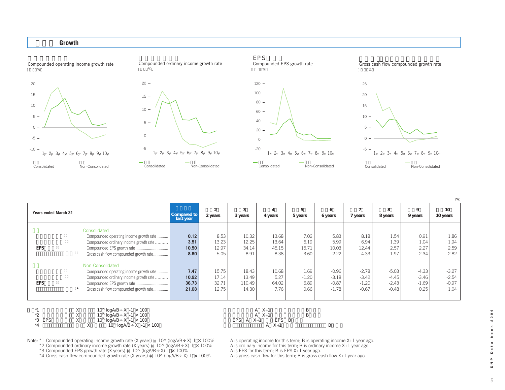



(**%**)

| <b>Years ended March 31</b> |                                                                                                                                                                     | Compared to<br>last year        | $\overline{2}$<br>2 years        | 3<br>3 years                        | $\overline{4}$<br>4 years                  | 5<br>5 years                    | 6<br>6 years                             | 7 years                                  | 8<br>8 years                             | 9<br>9 years                          | 10<br>10 years                        |
|-----------------------------|---------------------------------------------------------------------------------------------------------------------------------------------------------------------|---------------------------------|----------------------------------|-------------------------------------|--------------------------------------------|---------------------------------|------------------------------------------|------------------------------------------|------------------------------------------|---------------------------------------|---------------------------------------|
| <b>EPS</b>                  | Consolidated<br>Compounded operating income growth rate<br>Compounded ordinary income growth rate<br>Gross cash flow compounded growth rate                         | 0.12<br>3.51<br>10.50<br>8.60   | 8.53<br>13.23<br>12.97<br>5.05   | 10.32<br>12.25<br>34.14<br>8.91     | 13.68<br>13.64<br>45.15<br>8.38            | 7.02<br>6.19<br>15.71<br>3.60   | 5.83<br>5.99<br>10.03<br>2.22            | 8.18<br>6.94<br>12.44<br>4.33            | 1.54<br>1.39<br>2.57<br>1.97             | 0.91<br>1.04<br>2.27<br>2.34          | 1.86<br>1.94<br>2.59<br>2.82          |
| <b>EPS</b>                  | Non-Consolidated<br>Compounded operating income growth rate<br>Compounded ordinary income growth rate<br>Gross cash flow compounded growth rate                     | 7.47<br>10.92<br>36.73<br>21.08 | 15.75<br>17.14<br>32.71<br>12.75 | 18.43<br>13.49<br>110.49<br>14.30   | 10.68<br>5.27<br>64.02<br>7.76             | 1.69<br>$-1.20$<br>6.89<br>0.66 | $-0.96$<br>$-3.18$<br>$-0.87$<br>$-1.78$ | $-2.78$<br>$-3.42$<br>$-1.20$<br>$-0.67$ | $-5.03$<br>$-4.45$<br>$-2.43$<br>$-0.48$ | $-4.33$<br>$-3.46$<br>$-1.69$<br>0.25 | $-3.27$<br>$-2.54$<br>$-0.97$<br>1.04 |
| $*2$<br>*3<br>EPS<br>*4     | X<br>10^ $logA/B \div X -1 \times 100$<br>10^ $logA B ÷ X -1 × 100$<br>Y.<br>X<br>10^ $\log A/B \div X -1 \times 100$<br>$10^{\circ}$ logA $B \div X -1 \times 100$ |                                 |                                  | $X+1$<br><b>EPS</b><br>$\mathsf{A}$ | $X+1$<br>А<br>$X+1$<br>A<br>EPS B<br>$X+1$ | B<br>B                          | B                                        |                                          |                                          |                                       |                                       |

 $\sim 10^{\circ}$  logA/B÷X -1 × 100  $\rm B$ 

Note: \*1 Compounded operating income growth rate (X years) =  $10^{\circ}$  (logA/B÷X)-1 × 100% A is operating income for this term; B is operating income X+1 year ago.<br>\*2 Compounded ordinary income growth rate (X years) =  $10^$ 

Note: Suppounded ordinary income growth rate (X years) = 10^ (logA/B÷X)-1 × 100% A is ordinary income for this term; B is ordinary income for this term; B is ordinary income for this term; B is ordinary income X+1 year ago

\*3 Compounded EPS growth rate (X years) = 10^ (logA/B÷ X)-1 × 100% A is EPS for this term; B is EPS X+1 year ago.<br>\*4 Gross cash flow compounded growth rate (X years) = 10^ (logA/B÷ X)-1 × 100% A is gross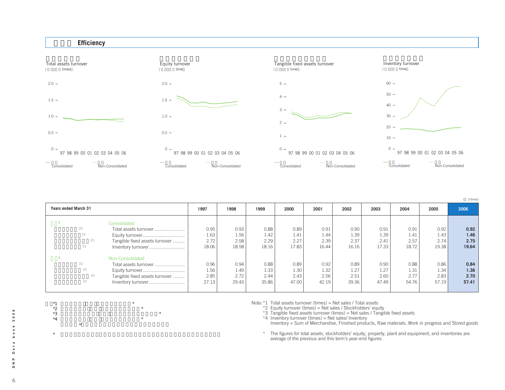

|  | Times) |
|--|--------|
|--|--------|

| <b>Years ended March 31</b>    | 1997  | 1998  | 1999  | 2000  | 2001  | 2002  | 2003  | 2004  | 2005  | 2006  |
|--------------------------------|-------|-------|-------|-------|-------|-------|-------|-------|-------|-------|
|                                |       |       |       |       |       |       |       |       |       |       |
| Consolidated                   |       |       |       |       |       |       |       |       |       |       |
| Total assets turnover          | 0.95  | 0.93  | 0.88  | 0.89  | 0.91  | 0.90  | 0.91  | 0.91  | 0.92  | 0.92  |
|                                | 1.63  | 1.56  | 1.42  | 1.41  | 1.44  | 1.39  | 1.39  | 1.41  | 1.43  | 1.46  |
| Tangible fixed assets turnover | 2.72  | 2.58  | 2.29  | 2.27  | 2.39  | 2.37  | 2.41  | 2.57  | 2.74  | 2.75  |
| Inventory turnover             | 18.06 | 18.58 | 18.16 | 17.83 | 16.44 | 16.16 | 17.33 | 18.72 | 19.38 | 19.64 |
| Non-Consolidated               |       |       |       |       |       |       |       |       |       |       |
| Total assets turnover          | 0.96  | 0.94  | 0.88  | 0.89  | 0.92  | 0.89  | 0.90  | 0.88  | 0.86  | 0.84  |
| Equity turnover                | 1.56  | 1.49  | 1.33  | 1.30  | 1.32  | 1.27  | 1.27  | 1.31  | 1.34  | 1.36  |
| Tangible fixed assets turnover | 2.85  | 2.72  | 2.44  | 2.43  | 2.56  | 2.51  | 2.60  | 2.77  | 2.83  | 2.70  |
| Inventory turnover             | 27.13 | 29.43 | 35.86 | 47.00 | 42.19 | 39.36 | 47.49 | 54.76 | 57.19 | 57.41 |
|                                |       |       |       |       |       |       |       |       |       |       |

Note:\*1 Total assets turnover (times) = Net sales / Total assets

 $2$  Equity turnover (times) = Net sales / Stockholders' equity

\*3 Tangible fixed assets turnover (times) = Net sales / Tangible fixed assets

\*4 Inventory turnover (times) = Net sales/ Inventory Inventory = Sum of Merchandise, Finished products, Raw materials, Work in progress and Stored goods

\* The figures for total assets, stockholders' equity, property, plant and equipment, and inventories are average of the previous and this term's year-end figures.

 $\circ$ 6**DNP Data book 2006**  $2000$ book a t a  $\mathsf{d}$  $\mathbf{a}$  $\mathbf{z}$  $\Omega$ 

6

 $*1$   $*$  $*2$   $*$  $*3$  and  $*$  $*4$   $*$ 

注)\*4 棚卸資産=商品、製品、原材料、仕掛品、貯蔵品の合計

 $*$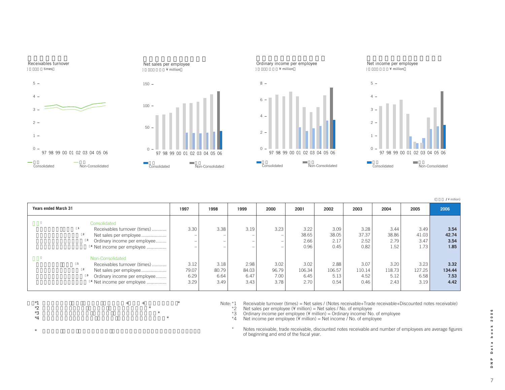

(**百万円 /** ¥ million)

| <b>Years ended March 31</b>                                                                                                                        | 1997                          | 1998                          | 1999                                  | 2000                          | 2001                           | 2002                           | 2003                           | 2004                           | 2005                           | 2006                           |
|----------------------------------------------------------------------------------------------------------------------------------------------------|-------------------------------|-------------------------------|---------------------------------------|-------------------------------|--------------------------------|--------------------------------|--------------------------------|--------------------------------|--------------------------------|--------------------------------|
| Consolidated<br>Receivables turnover (times)<br>Net sales per employee<br>Ordinary income per employee<br><sup>4</sup> Net income per employee     | 3.30<br>-                     | 3.38                          | 3.19<br>-<br>$\overline{\phantom{a}}$ | 3.23<br>-<br>-                | 3.22<br>38.65<br>2.66<br>0.96  | 3.09<br>38.05<br>2.17<br>0.45  | 3.28<br>37.37<br>2.52<br>0.82  | 3.44<br>38.86<br>2.79<br>1.52  | 3.49<br>41.03<br>3.47<br>1.73  | 3.54<br>42.74<br>3.54<br>1.85  |
| Non-Consolidated<br>Receivables turnover (times)<br>Net sales per employee<br>Ordinary income per employee<br><sup>4</sup> Net income per employee | 3.12<br>79.07<br>6.29<br>3.29 | 3.18<br>80.79<br>6.64<br>3.49 | 2.98<br>84.03<br>6.47<br>3.43         | 3.02<br>96.79<br>7.00<br>3.78 | 3.02<br>106.34<br>6.45<br>2.70 | 2.88<br>106.57<br>5.13<br>0.54 | 3.07<br>110.14<br>4.52<br>0.46 | 3.20<br>118.73<br>5.12<br>2.43 | 3.23<br>127.25<br>6.58<br>3.19 | 3.32<br>134.44<br>7.53<br>4.42 |

 $*$ 1  $*$ 

 $*2$   $*$ 



 $*4$ 

 $\star$ 

Note: \*1 Receivable turnover (times) = Net sales / (Notes receivable+Trade receivable+Discounted notes receivable)<br>\*2 Net sales per employee (¥ million) = Net sales / No. of employee<br>\*3 Ordinary income per employee (¥ mill

\*2 Net sales per employee (¥ million) = Net sales / No. of employee

 $*3$  Ordinary income per employee (¥ million) = Ordinary income/ No. of employee

\*4 Net income per employee (¥ million) = Net income / No. of employee

\* Notes receivable, trade receivable, discounted notes receivable and number of employees are average figures of beginning and end of the fiscal year.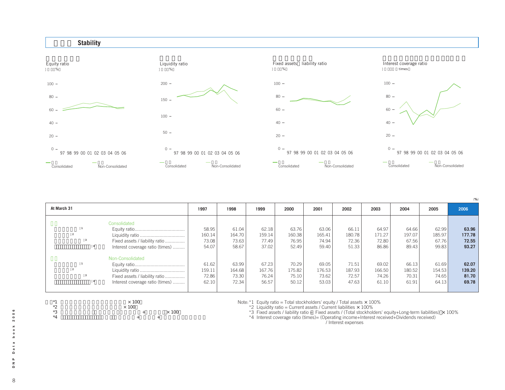

| At March 31 |                                                                                       | 1997                              | 1998                              | 1999                              | 2000                              | 2001                              | 2002                              | 2003                              | 2004                              | 2005                              | 2006                              |
|-------------|---------------------------------------------------------------------------------------|-----------------------------------|-----------------------------------|-----------------------------------|-----------------------------------|-----------------------------------|-----------------------------------|-----------------------------------|-----------------------------------|-----------------------------------|-----------------------------------|
|             | Consolidated<br>Fixed assets / liability ratio<br>Interest coverage ratio (times)     | 58.95<br>160.14<br>73.08<br>54.07 | 61.04<br>164.70<br>73.63<br>58.67 | 62.18<br>159.14<br>77.49<br>37.02 | 63.76<br>160.38<br>76.95<br>52.49 | 63.06<br>165.41<br>74.94<br>59.40 | 66.11<br>180.78<br>72.36<br>51.33 | 64.97<br>171.27<br>72.80<br>86.86 | 64.66<br>197.07<br>67.56<br>89.43 | 62.99<br>185.97<br>67.76<br>99.83 | 63.96<br>177.78<br>72.55<br>93.27 |
|             | Non-Consolidated<br>Fixed assets / liability ratio<br>Interest coverage ratio (times) | 61.62<br>159.11<br>72.86<br>62.10 | 63.99<br>164.68<br>73.30<br>72.34 | 67.23<br>167.76<br>76.24<br>56.57 | 70.29<br>175.82<br>75.10<br>50.12 | 69.05<br>176.53<br>73.62<br>53.03 | 71.51<br>187.93<br>72.57<br>47.63 | 69.02<br>166.50<br>74.26<br>61.10 | 66.13<br>180.52<br>70.31<br>61.91 | 61.69<br>154.53<br>74.65<br>64.13 | 62.07<br>139.20<br>81.70<br>69.78 |

 $\times$  100

\*1  $*2$ <br> $*3$   $*4$   $*3$ <br> $*4$   $*3$  $*$   $*$  100

注)\*4 インタレスト・カバレッジ・レシオ(倍)(営業利益+受取利息+受取配当金)/支払利息

Note:  $*1$  Equity ratio = Total stockholders' equity / Total assets  $\times$  100%

 $*2$  Liquidity ratio = Current assets / Current liabilities  $\times$  100%

\*3 Fixed assets / liability ratio = Fixed assets / (Total stockholders' equity+Long-term liabilities) × 100%<br>\*4 Interest coverage ratio (times)= (Operating income+Interest received+Dividends received)

Note that the network of  $\lambda$  interest expenses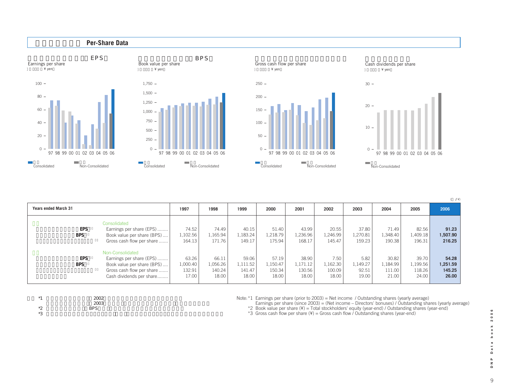

(**円 /** ¥)

| <b>Years ended March 31</b> |                                                                                                                                     | 1997                                 | 1998                                 | 1999                                 | 2000                                 | 2001                                 | 2002                                | 2003                               | 2004                                 | 2005                                 | 2006                                 |
|-----------------------------|-------------------------------------------------------------------------------------------------------------------------------------|--------------------------------------|--------------------------------------|--------------------------------------|--------------------------------------|--------------------------------------|-------------------------------------|------------------------------------|--------------------------------------|--------------------------------------|--------------------------------------|
| EPS<br><b>BPS</b>           | Consolidated<br>Earnings per share (EPS)<br>Book value per share (BPS)<br>Gross cash flow per share                                 | 74.52<br>1,102.56<br>164.13          | 74.49<br>1,165.94<br>171.76          | 40.15<br>.183.24<br>149.17           | 51.40<br>1,218.79<br>175.94          | 43.99<br>1,236.96<br>168.17          | 20.55<br>1,246.99<br>145.47         | 37.80<br>1,270.81<br>159.23        | 71.49<br>1,348.40<br>190.38          | 82.56<br>1,409.18<br>196.31          | 91.23<br>1,507.90<br>216.25          |
| EPS<br><b>BPS</b>           | Non-Consolidated<br>Earnings per share (EPS)<br>Book value per share (BPS)<br>Gross cash flow per share<br>Cash dividends per share | 63.26<br>1,000.40<br>132.91<br>17.00 | 66.11<br>1,056.26<br>140.24<br>18.00 | 59.06<br>1,111.52<br>141.47<br>18.00 | 57.19<br>1,150.47<br>150.34<br>18.00 | 38.90<br>1,171.12<br>130.56<br>18.00 | 7.50<br>1,162.30<br>100.09<br>18.00 | 5.82<br>1,149.27<br>92.51<br>19.00 | 30.82<br>1,184.99<br>111.00<br>21.00 | 39.70<br>1,199.56<br>118.26<br>24.00 | 54.28<br>1.251.59<br>145.25<br>26,00 |

| $*1$          | 2002       |  |
|---------------|------------|--|
|               | 2003       |  |
| $*$<br>∠<br>— | <b>BPS</b> |  |
| $*2$<br>◡     |            |  |

Note: $1$  Earnings per share (prior to 2003) = Net income / Outstanding shares (yearly average)

Earnings per share (since 2003) = (Net income – Directors' bonuses) / Outstanding shares (yearly average) \*2 Book value per share (¥) = Total stockholders' equity (year-end) / Outstanding shares (year-end)

\*3 Gross cash flow per share  $(Y)$  = Gross cash flow / Outstanding shares (year-end)

book 2006 9**DNP Data book 2006** a t a  $\mathsf{d}$  $\mathbf{a}$  $\overline{\phantom{a}}^{\mathbf{z}}$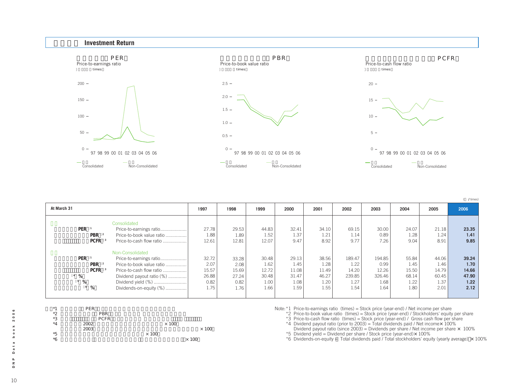

| At March 31 |                                                                            |                                                                                                                                                                                    | 1997                                            | 1998                                            | 1999                                            | 2000                                            | 2001                                            | 2002                                              | 2003                                              | 2004                                            | 2005                                            | 2006                                            |
|-------------|----------------------------------------------------------------------------|------------------------------------------------------------------------------------------------------------------------------------------------------------------------------------|-------------------------------------------------|-------------------------------------------------|-------------------------------------------------|-------------------------------------------------|-------------------------------------------------|---------------------------------------------------|---------------------------------------------------|-------------------------------------------------|-------------------------------------------------|-------------------------------------------------|
|             | PER <sup>1</sup><br><b>PBR</b><br><b>PCFR</b>                              | Consolidated<br>Price-to-earnings ratio<br>Price-to-book value ratio<br>Price-to-cash flow ratio                                                                                   | 27.78<br>1.88<br>12.61                          | 29.53<br>1.89<br>12.81                          | 44.83<br>1.52<br>12.07                          | 32.41<br>1.37<br>9.47                           | 34.10<br>1.21<br>8.92                           | 69.15<br>1.14<br>9.77                             | 30.00<br>0.89<br>7.26                             | 24.07<br>1.28<br>9.04                           | 21.18<br>1.24<br>8.91                           | 23.35<br>1.41<br>9.85                           |
| %           | PER <sup>1</sup><br>PBR<br><b>PCFR</b><br>$5\frac{6}{6}$<br>$6\frac{9}{6}$ | Non-Consolidated<br>Price-to-earnings ratio<br>Price-to-book value ratio<br>Price-to-cash flow ratio<br>Dividend payout ratio (%)<br>Dividend yield (%)<br>Dividends-on-equity (%) | 32.72<br>2.07<br>15.57<br>26.88<br>0.82<br>1.75 | 33.28<br>2.08<br>15.69<br>27.24<br>0.82<br>1.76 | 30.48<br>1.62<br>12.72<br>30.48<br>1.00<br>1.66 | 29.13<br>1.45<br>11.08<br>31.47<br>1.08<br>1.59 | 38.56<br>1.28<br>11.49<br>46.27<br>1.20<br>1.55 | 189.47<br>1.22<br>14.20<br>239.85<br>1.27<br>1.54 | 194.85<br>0.99<br>12.26<br>326.46<br>1.68<br>1.64 | 55.84<br>1.45<br>15.50<br>68.14<br>1.22<br>1.80 | 44.06<br>1.46<br>14.79<br>60.45<br>1.37<br>2.01 | 39.24<br>1.70<br>14.66<br>47.90<br>1.22<br>2.12 |

| $*1$ | PER         |              |              |
|------|-------------|--------------|--------------|
| *2   | <b>PBR</b>  |              |              |
| *3   | <b>PCFR</b> |              |              |
| *4   | 2002        | $\times$ 100 |              |
|      | 2003        |              | $\times$ 100 |
| *5   |             | $\times$ 100 |              |
| *6   |             |              | $\times$ 100 |

Note:\*1 Price-to-earnings ratio (times) = Stock price (year-end) / Net income per share

\*2 Price-to-book value ratio (times) = Stock price (year-end) / Stockholders' equity per share

\*3 Price-to-cash flow ratio (times) = Stock price (year-end) / Gross cash flow per share

 $*4$  Dividend payout ratio (prior to 2003) = Total dividends paid / Net income $\times$  100%

Dividend payout ratio (since 2003) = Dividends per share / Net income per share  $\times$  100%

 $*5$  Dividend yield = Dividend per share / Stock price (year-end) $\times$  100%

\*6 Dividends-on-equity = Total dividends paid / Total stockholders' equity (yearly average)  $\times$  100%

(**倍 /** times)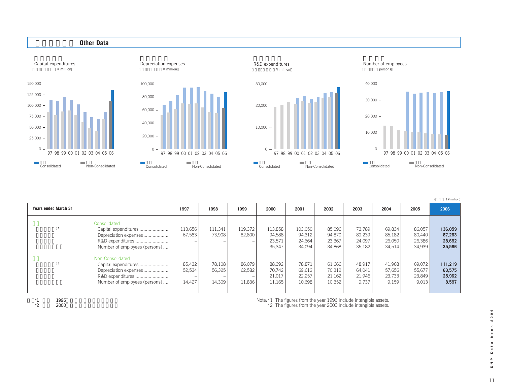

(**百万円 /** ¥ million)

| <b>Years ended March 31</b> |                                                                                                     | 1997                                                   | 1998                            | 1999                       | 2000                                  | 2001                                  | 2002                                 | 2003                                 | 2004                                 | 2005                                 | 2006                                  |
|-----------------------------|-----------------------------------------------------------------------------------------------------|--------------------------------------------------------|---------------------------------|----------------------------|---------------------------------------|---------------------------------------|--------------------------------------|--------------------------------------|--------------------------------------|--------------------------------------|---------------------------------------|
|                             | Consolidated<br>Capital expenditures<br>Depreciation expenses<br>Number of employees (persons)      | 113,656<br>67,583                                      | 111,341<br>73,908<br>-<br>-     | 119,372<br>82,800          | 113,858<br>94,588<br>23,571<br>35,347 | 103,050<br>94,312<br>24,664<br>34,094 | 85,096<br>94,870<br>23,367<br>34,868 | 73,789<br>89,239<br>24,097<br>35,182 | 69,834<br>85,182<br>26,050<br>34,514 | 86,057<br>80,440<br>26,386<br>34,939 | 136,059<br>87,263<br>28,692<br>35,596 |
|                             | Non-Consolidated<br>Capital expenditures<br>Depreciation expenses!<br>Number of employees (persons) | 85,432<br>52,534<br>$\overline{\phantom{a}}$<br>14,427 | 78,108<br>56,325<br>-<br>14,309 | 86,079<br>62,582<br>11,836 | 88,392<br>70,742<br>21,017<br>11,165  | 78,871<br>69,612<br>22,257<br>10,698  | 61,666<br>70,312<br>21,162<br>10,352 | 48,917<br>64,041<br>21,946<br>9,737  | 41,968<br>57,656<br>23,733<br>9,159  | 69,072<br>55,677<br>23,849<br>9,013  | 111,219<br>63,575<br>25,962<br>8,597  |

 $*1$   $*2$   $*2000$ 注)\*2 単体 2000年より無形固定資産を含む

Note:\*1 The figures from the year 1996 include intangible assets. \*2 The figures from the year 2000 include intangible assets.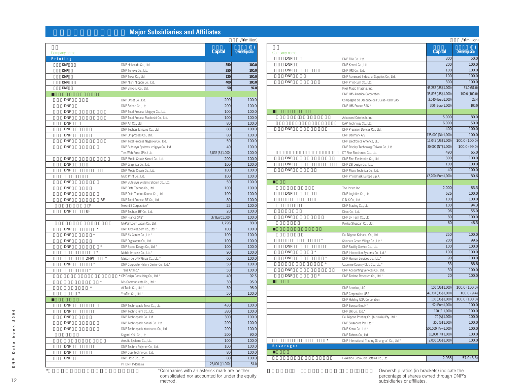# **Major Subsidiaries and Affiliates**

|              |                       |                                         | (                | /\ million)     |
|--------------|-----------------------|-----------------------------------------|------------------|-----------------|
| Company name |                       |                                         | Capital          | Ownership ratio |
| Printing     |                       |                                         |                  |                 |
| <b>DNP</b>   |                       | DNP Hokkaido Co., Ltd.                  | 350              | 100.0           |
| <b>DNP</b>   |                       | DNP Tohoku Co., Ltd.                    | 350              | 100.0           |
| <b>DNP</b>   |                       | DNP Tokai Co., Ltd.                     | 120              | 100.0           |
| <b>DNP</b>   |                       | DNP Nishi Nippon Co., Ltd.              | 400              | 100.0           |
| <b>DNP</b>   |                       | DNP Shikoku Co., Ltd.                   | 50               | 97.0            |
|              |                       |                                         |                  |                 |
| <b>DNP</b>   |                       | DNP Offset Co., Ltd.                    | 200              | 100.0           |
| <b>DNP</b>   |                       | DNP Seihon Co., Ltd.                    | 200              | 100.0           |
| <b>DNP</b>   |                       | DNP Total Process Ichigaya Co., Ltd.    | 100              | 100.0           |
| <b>DNP</b>   |                       | DNP Total Process Maebashi Co., Ltd.    | 100              | 100.0           |
| <b>DNP</b>   |                       | DNP Art Co., Ltd.                       | 80               | 100.0           |
| <b>DNP</b>   |                       | DNP Techtas Ichigaya Co., Ltd.          | 80               | 100.0           |
| <b>DNP</b>   |                       | DNP Uniprocess Co., Ltd.                | 80               | 100.0           |
| <b>DNP</b>   |                       | DNP Total Process Nagaoka Co., Ltd.     | 50               | 100.0           |
| <b>DNP</b>   |                       | DNP Butsuryu Systems Ichigaya Co., Ltd. | 40               | 100.0           |
|              |                       | Tien Wah Press (Pte.) Ltd.              | 3,892 (S\$1,000) | 100.0           |
| <b>DNP</b>   |                       | DNP Media Create Kansai Co., Ltd.       | 200              | 100.0           |
| <b>DNP</b>   |                       | DNP Graphica Co., Ltd.                  | 100              | 100.0           |
| <b>DNP</b>   |                       | DNP Media Create Co., Ltd.              | 100              | 100.0           |
|              |                       | Multi Print Co., Ltd.                   | 100              | 100.0           |
| <b>DNP</b>   |                       | DNP Butsuryu Systems Shouin Co., Ltd.   | 50               | 100.0           |
| <b>DNP</b>   |                       | DNP Data Techno Co., Ltd.               | 100              | 100.0           |
| <b>DNP</b>   |                       | DNP Data Techno Kansai Co., Ltd.        | 100              | 100.0           |
| <b>DNP</b>   | BF                    | DNP Total Process BF Co., Ltd.          | 80               | 100.0           |
|              | $\star$               | NexantiS Corporation*                   | 25               | 100.0           |
| <b>DNP</b>   | BF                    | DNP Techtas BF Co., Ltd.                | 20               | 100.0           |
|              |                       | DNP France SAS*                         | 37 (E uro1,000)  | 100.0           |
|              |                       | MyPoint.com Japan Co., Ltd.             | 1,796            | 83.0            |
| <b>DNP</b>   | $\star$               | DNP Archives.com Co., Ltd.*             | 100              | 100.0           |
| <b>DNP</b>   | $\star$               | DNP AV Center Co., Ltd.*                | 100              | 100.0           |
| <b>DNP</b>   |                       | DNP Digitalcom Co., Ltd.                | 100              | 100.0           |
| <b>DNP</b>   | $^{\star}$            | DNP Space Design Co., Ltd.*             | 100              | 100.0           |
|              | $\star$               | Mobile Impulse Co., Ltd.*               | 90               | 100.0           |
|              | <b>DNP</b><br>$\star$ | Maison de DNP Ginza Co., Ltd.*          | 60               | 100.0           |
| <b>DNP</b>   | $\star$               | DNP Corporate History Center Co., Ltd.* | 50               | 100.0           |
|              | $\star$               | Trans Art Inc.*                         | 50               | 100.0           |
|              |                       | * CP Design Consulting Co., Ltd.*       | 40               | 92.5            |
|              | $\star$               | M's Communicate Co., Ltd.*              | 30               | 95.0            |
|              | $\star$               | At Table Co., Ltd.*                     | 30               | 95.0            |
| $\star$      |                       | YouToo Co., Ltd.*                       | 50               | 100.0           |
|              |                       |                                         |                  |                 |
| <b>DNP</b>   |                       | DNP Technopack Tokai Co., Ltd.          | 430              | 100.0           |
| <b>DNP</b>   |                       | DNP Techno Film Co., Ltd.               | 380              | 100.0           |
| <b>DNP</b>   |                       | DNP Technopack Co., Ltd.                | 300              | 100.0           |
| <b>DNP</b>   |                       | DNP Technopack Kansai Co., Ltd.         | 200              | 100.0           |
| <b>DNP</b>   |                       | DNP Technopack Yokohama Co., Ltd.       | 200              | 100.0           |
|              |                       | Sagami Yoki Co., Ltd.                   | 200              | 90.0            |
|              |                       | Aseptic Systems Co., Ltd.               | 100              | 100.0           |
| <b>DNP</b>   |                       | DNP Techno Polymer Co., Ltd.            | 100              | 100.0           |
| <b>DNP</b>   |                       | DNP Cup Techno Co., Ltd.                | 80               | 100.0           |
| <b>DNP</b>   |                       | DNP Hoso Co., Ltd.                      | 80               | 100.0           |
|              |                       | PT DNP Indonesia                        | 26,000 (\$1,000) | 51.0            |
|              |                       |                                         |                  |                 |

|                                 |                                                 | $\overline{ }$     | /\ million)     |
|---------------------------------|-------------------------------------------------|--------------------|-----------------|
|                                 |                                                 |                    |                 |
| Company name                    |                                                 | Capital            | Ownership ratio |
| <b>DNP</b>                      | DNP Ellio Co., Ltd.                             | 300                | 50.0            |
| <b>DNP</b>                      | DNP Kenzai Co., Ltd.                            | 200                | 100.0           |
| <b>DNP</b>                      | DNP IMS Co., Ltd.                               | 100                | 100.0           |
| <b>DNP</b>                      | DNP Advanced Industrial Supplies Co., Ltd.      | 100                | 100.0           |
| <b>DNP</b>                      | DNP PrintRush Co., Ltd.                         | 300                | 100.0           |
|                                 | Pixel Magic Imaging, Inc.                       | 45,282 (US\$1,000) | 51.0(51.0)      |
|                                 | DNP IMS America Corporation                     | 35,893 (US\$1,000) | 100.0 (100.0)   |
|                                 | Compagnie de Découpe de l'Ouest - CDO SAS       | 3,040 (Euro1,000)  | 23.4            |
|                                 | DNP IMS France SAS '                            | 300 (Euro 1,000)   | 100.0           |
|                                 |                                                 |                    |                 |
|                                 | Advanced Colortech, Inc                         | 5,000              | 80.0            |
|                                 | DAP Technolgy Co., Ltd.                         | 6,000              | 50.0            |
| <b>DNP</b>                      | DNP Precision Devices Co., Ltd.                 | 400                | 100.0           |
|                                 | DNP Denmark A/S                                 | 135,000 (Dkr1,000) | 100.0           |
|                                 | DNP Electronics America, LLC                    | 15,045 (US\$1,000) | 100.0 (100.0)   |
|                                 | DNP Display Technology Taiwan Co., Ltd.         | 30,000 (NT\$1,000) | 100.0 (99.0)    |
|                                 | DT Fine Electronics Co., Ltd.                   | 490                | 65.0            |
| <b>DNP</b>                      | DNP Fine Electronics Co., Ltd.                  | 300                | 100.0           |
| <b>DNP</b>                      | DNP LSI Design Co., Ltd.                        | 100                | 100.0           |
| <b>DNP</b>                      | DNP Micro Technica Co., Ltd.                    | 40                 | 100.0           |
|                                 | DNP Photomask Europe S.p.A.                     | 47,200 (Euro1,000) | 80.6            |
|                                 |                                                 |                    |                 |
|                                 | The Inctec Inc.                                 | 2,000              | 83.3            |
| <b>DNP</b>                      | DNP Logistics Co., Ltd.                         | 626                | 100.0           |
|                                 | D.N.K Co., Ltd.                                 | 100                | 100.0           |
|                                 | DNP Trading Co., Ltd.                           | 100                | 94.3            |
|                                 | Direc Co., Ltd.                                 | 96                 | 55.0            |
| <b>DNP</b>                      | DNP SP Tech Co., Ltd.                           | 80                 | 100.0           |
|                                 | Kyoiku Shuppan Co., Ltd.                        | 60                 | 48.3            |
|                                 |                                                 |                    |                 |
|                                 | Dai Nippon Kaihatsu Co., Ltd.                   | 250                | 100.0           |
| $\star$                         | Shiobara Green Village Co., Ltd.*               | 200                | 99.6            |
| <b>DNP</b>                      | DNP Facility Service Co., Ltd.                  | 100                | 100.0           |
| <b>DNP</b>                      | DNP Information Systems Co., Ltd.*              | 100                | 100.0           |
| $\star$<br><b>DNP</b>           | DNP Human Services Co., Ltd.*                   | 90                 | 100.0           |
| $\star$                         | Uzumine Country Club Co., Ltd.*                 | 33                 | 88.8            |
| <b>DNP</b>                      | DNP Accounting Services Co., Ltd.               | 30                 | 100.0           |
| $\overline{\ast}$<br><b>DNP</b> | DNP Techno Research Co., Ltd.*                  | 20                 | 100.0           |
|                                 |                                                 |                    |                 |
|                                 | DNP America, LLC                                | 100 (US\$1,000)    | 100.0 (100.0)   |
|                                 | DNP Corporation USA                             | 47,387 (US\$1,000) | 100.0(9.4)      |
|                                 | DNP Holding USA Corporation                     | 100 (US\$1,000)    | 100.0 (100.0)   |
|                                 | DNP Europa GmbH*                                | 92 (Euro1,000)     | 100.0           |
|                                 | DNP UK Co., Ltd.*                               | 120 (£ 1,000)      | 100.0           |
|                                 | Dai Nippon Printing Co. (Australia) Pty. Ltd.*  | 70 (A\$1,000)      | 100.0           |
|                                 | DNP Singapore Pte. Ltd.*                        | 350 (S\$1,000)     | 100.0           |
|                                 | DNP Korea Co., Ltd.*                            | 500,000 (Krw1,000) | 100.0           |
|                                 | DNP Taiwan Co., Ltd.                            | 10,000 (NT1,000)   | 100.0           |
| $\star$                         | DNP International Trading (Shanghai) Co., Ltd.* | 2,000 (US\$1,000)  | 100.0           |
| <b>Beverages</b>                |                                                 |                    |                 |
|                                 |                                                 |                    |                 |
|                                 | Hokkaido Coca-Cola Bottling Co., Ltd.           | 2,935              | 57.0 (3.8)      |
|                                 |                                                 |                    |                 |

Ownership ratios (in brackets) indicate the<br>percentage of shares owned through DNP's subsidiaries or affiliates.

\*は連結対象外、持分法非適用関連会社である。 \*Companies with an asterisk mark are neither consolidated nor accounted for under the equity method.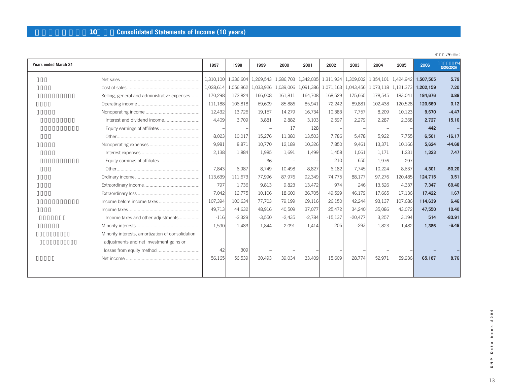# **連結損益計算書(10年間)Consolidated Statements of Income (10 years)**

|                                                   |           |           |           |           |                                   |           |                               |         |                                         |           | /\ million)      |
|---------------------------------------------------|-----------|-----------|-----------|-----------|-----------------------------------|-----------|-------------------------------|---------|-----------------------------------------|-----------|------------------|
| <b>Years ended March 31</b>                       | 1997      | 1998      | 1999      | 2000      | 2001                              | 2002      | 2003                          | 2004    | 2005                                    | 2006      | %<br>(2006/2005) |
|                                                   | 1,310,100 | 1,336,604 |           |           | 1,269,543   1,286,703   1,342,035 |           |                               |         | 1,311,934 1,309,002 1,354,101 1,424,942 | 1,507,505 | 5.79             |
|                                                   | 1,028,614 | 1,056,962 | 1,033,926 | 1,039,006 | 1,091,386                         |           | 1,071,163 1,043,456 1,073,118 |         | 1,121,373                               | 1,202,159 | 7.20             |
| Selling, general and administrative expenses      | 170,298   | 172,824   | 166,008   | 161,811   | 164,708                           | 168,529   | 175,665                       | 178,545 | 183,041                                 | 184,676   | 0.89             |
|                                                   | 111,188   | 106,818   | 69,609    | 85,886    | 85,941                            | 72,242    | 89,881                        | 102,438 | 120,528                                 | 120,669   | 0.12             |
|                                                   | 12,432    | 13,726    | 19,157    | 14,279    | 16,734                            | 10,383    | 7,757                         | 8,209   | 10,123                                  | 9,670     | $-4.47$          |
|                                                   | 4,409     | 3.709     | 3.881     | 2.882     | 3.103                             | 2,597     | 2,279                         | 2,287   | 2,368                                   | 2.727     | 15.16            |
| Equity earnings of affiliates                     |           |           |           | 17        | 128                               |           |                               |         |                                         | 442       |                  |
|                                                   | 8,023     | 10,017    | 15,276    | 11,380    | 13,503                            | 7.786     | 5.478                         | 5.922   | 7,755                                   | 6,501     | $-16.17$         |
|                                                   | 9,981     | 8,871     | 10,770    | 12,189    | 10,326                            | 7,850     | 9,461                         | 13,371  | 10,166                                  | 5,624     | $-44.68$         |
|                                                   | 2,138     | 1.884     | 1.985     | 1,691     | 1,499                             | 1,458     | 1,061                         | 1.171   | 1,231                                   | 1.323     | 7.47             |
|                                                   |           |           | 36        |           |                                   | 210       | 655                           | 1.976   | 297                                     |           |                  |
|                                                   | 7,843     | 6,987     | 8,749     | 10,498    | 8,827                             | 6,182     | 7,745                         | 10,224  | 8,637                                   | 4,301     | $-50.20$         |
|                                                   | 113,639   | 111,673   | 77,996    | 87,976    | 92,349                            | 74,775    | 88,177                        | 97,276  | 120,485                                 | 124,715   | 3.51             |
|                                                   | 797       | 1,736     | 9,813     | 9,823     | 13,472                            | 974       | 246                           | 13,526  | 4,337                                   | 7,347     | 69.40            |
|                                                   | 7,042     | 12,775    | 10,106    | 18,600    | 36,705                            | 49,599    | 46,179                        | 17,665  | 17,136                                  | 17,422    | 1.67             |
|                                                   | 107,394   | 100,634   | 77,703    | 79,199    | 69,116                            | 26,150    | 42,244                        | 93,137  | 107,686                                 | 114,639   | 6.46             |
|                                                   | 49,713    | 44,632    | 48,916    | 40,509    | 37,077                            | 25,472    | 34,240                        | 35,086  | 43,072                                  | 47,550    | 10.40            |
| Income taxes and other adjustments                | $-116$    | $-2,329$  | $-3,550$  | $-2,435$  | $-2,784$                          | $-15,137$ | $-20,477$                     | 3,257   | 3,194                                   | 514       | $-83.91$         |
|                                                   | 1,590     | 1.483     | 1.844     | 2,091     | 1,414                             | 206       | $-293$                        | 1,823   | 1.482                                   | 1,386     | $-6.48$          |
| Minority interests, amortization of consolidation |           |           |           |           |                                   |           |                               |         |                                         |           |                  |
| adjustments and net investment gains or           |           |           |           |           |                                   |           |                               |         |                                         |           |                  |
| losses from equity method                         | 42        | 309       |           |           |                                   |           |                               |         |                                         |           |                  |
|                                                   | 56,165    | 56,539    | 30,493    | 39.034    | 33,409                            | 15,609    | 28,774                        | 52,971  | 59,936                                  | 65,187    | 8.76             |
|                                                   |           |           |           |           |                                   |           |                               |         |                                         |           |                  |
|                                                   |           |           |           |           |                                   |           |                               |         |                                         |           |                  |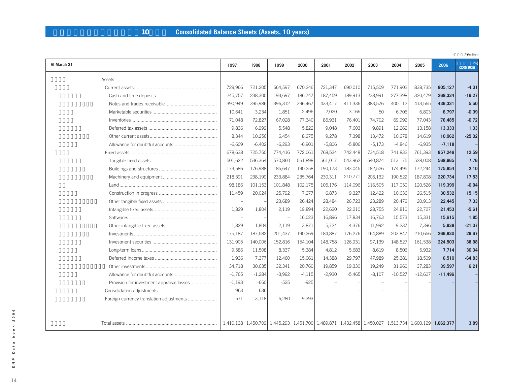# **連結貸借対照表(資産の部、10年間) Consolidated Balance Sheets (Assets, 10 years)**

|                                           |          |                                                                                                    |          |          |          |          |          |           |           |           | /\ million)      |
|-------------------------------------------|----------|----------------------------------------------------------------------------------------------------|----------|----------|----------|----------|----------|-----------|-----------|-----------|------------------|
| At March 31                               | 1997     | 1998                                                                                               | 1999     | 2000     | 2001     | 2002     | 2003     | 2004      | 2005      | 2006      | %<br>(2006/2005) |
| Assets                                    |          |                                                                                                    |          |          |          |          |          |           |           |           |                  |
|                                           | 729,966  | 721,205                                                                                            | 664,597  | 670,246  | 721,347  | 690,010  | 715,509  | 771,902   | 838,735   | 805,127   | $-4.01$          |
|                                           | 245,757  | 238,305                                                                                            | 193,697  | 186,747  | 187,459  | 189,913  | 238,991  | 277,398   | 320,479   | 268,334   | $-16.27$         |
|                                           | 390,949  | 395,986                                                                                            | 396,312  | 396,467  | 433,417  | 411,336  | 383,576  | 400,112   | 413,565   | 436,331   | 5.50             |
|                                           | 10,641   | 3,234                                                                                              | 1,851    | 2,496    | 2,020    | 3,165    | 50       | 6,706     | 6,803     | 6,797     | $-0.09$          |
|                                           | 71,048   | 72,827                                                                                             | 67,028   | 77,340   | 85,931   | 76,401   | 74,702   | 69,992    | 77,043    | 76,485    | $-0.72$          |
|                                           | 9,836    | 6,999                                                                                              | 5,548    | 5,822    | 9,048    | 7.603    | 9,891    | 12,262    | 13,158    | 13,333    | 1.33             |
|                                           | 8,344    | 10,256                                                                                             | 6,454    | 8,275    | 9,278    | 7,398    | 13,472   | 10,278    | 14,619    | 10,962    | $-25.02$         |
|                                           | $-6,609$ | $-6,402$                                                                                           | $-6,293$ | $-6,901$ | $-5,806$ | $-5,806$ | $-5,173$ | $-4,846$  | $-6,935$  | $-7,118$  |                  |
|                                           | 678,638  | 725,750                                                                                            | 774,416  | 772,061  | 768,524  | 742,448  | 734,518  | 741,832   | 761,393   | 857,249   | 12.59            |
|                                           | 501,622  | 536,364                                                                                            | 570,860  | 561,898  | 561,017  | 543,962  | 540,874  | 513,175   | 528,008   | 568,965   | 7.76             |
|                                           | 173,586  | 176,988                                                                                            | 185,647  | 190,258  | 190,173  | 183,045  | 182,526  | 174,495   | 172,244   | 175,854   | 2.10             |
|                                           | 218,391  | 238,199                                                                                            | 233,884  | 235,764  | 230,311  | 210,771  | 206,132  | 190,522   | 187,808   | 220,734   | 17.53            |
|                                           | 98,186   | 101,153                                                                                            | 101,848  | 102,175  | 105,176  | 114,096  | 116,505  | 117,050   | 120,526   | 119,399   | $-0.94$          |
|                                           | 11,459   | 20,024                                                                                             | 25,792   | 7,277    | 6,873    | 9,327    | 12,422   | 10,636    | 26,515    | 30,532    | 15.15            |
|                                           |          |                                                                                                    | 23,689   | 26,424   | 28,484   | 26,723   | 23,289   | 20,472    | 20,913    | 22,445    | 7.33             |
|                                           | 1,829    | 1,804                                                                                              | 2,119    | 19,894   | 22,620   | 22,210   | 28,755   | 24,810    | 22,727    | 21,453    | $-5.61$          |
|                                           |          |                                                                                                    |          | 16,023   | 16,896   | 17,834   | 16,763   | 15,573    | 15,331    | 15,615    | 1.85             |
|                                           | 1,829    | 1,804                                                                                              | 2,119    | 3,871    | 5,724    | 4,376    | 11,992   | 9,237     | 7,396     | 5,838     | $-21.07$         |
|                                           | 175,187  | 187,582                                                                                            | 201,437  | 190,269  | 184,887  | 176,276  | 164,889  | 203,847   | 210,656   | 266,830   | 26.67            |
|                                           | 131,905  | 140,006                                                                                            | 152,816  | 154,104  | 148,758  | 126,931  | 97,139   | 148,527   | 161,538   | 224,503   | 38.98            |
|                                           | 9,586    | 11,508                                                                                             | 8,337    | 5,384    | 4,812    | 5,683    | 8,619    | 8,506     | 5,932     | 7,714     | 30.04            |
|                                           | 1,936    | 7,377                                                                                              | 12,460   | 15,061   | 14,388   | 29,797   | 47,989   | 25,381    | 18,509    | 6.510     | $-64.83$         |
|                                           | 34,718   | 30,635                                                                                             | 32,341   | 20,760   | 19,859   | 19,330   | 19,249   | 31,960    | 37,283    | 39,597    | 6.21             |
|                                           | $-1,765$ | $-1,284$                                                                                           | $-3,992$ | $-4,115$ | $-2,930$ | $-5,465$ | $-8,107$ | $-10,527$ | $-12,607$ | $-11,496$ |                  |
| Provision for investment appraisal losses | $-1,193$ | $-660$                                                                                             | $-525$   | $-925$   |          |          |          |           |           |           |                  |
|                                           | 963      | 636                                                                                                |          |          |          |          |          |           |           |           |                  |
| Foreign currency translation adjustments  | 571      | 3,118                                                                                              | 6,280    | 9.393    |          |          |          |           |           |           |                  |
|                                           |          |                                                                                                    |          |          |          |          |          |           |           |           |                  |
|                                           |          |                                                                                                    |          |          |          |          |          |           |           |           |                  |
|                                           |          | 1,40,138 1,450,709 1,445,293 1,451,700 1,489,871 1,432,458 1,450,027 1,513,734 1,600,129 1,662,377 |          |          |          |          |          |           |           |           | 3.89             |

book 2006 14**DNP Data book 2006** Data D N P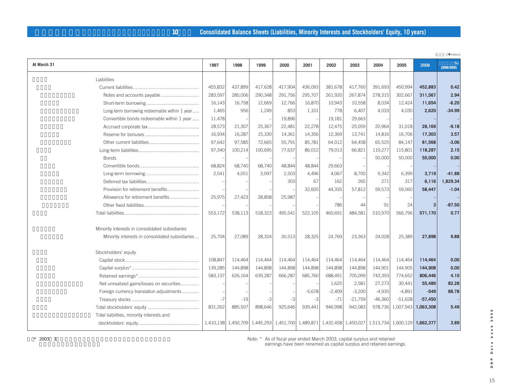# **10 Consolidated Balance Sheets (Liabilities, Minority Interests and Stockholders' Equity, 10 years)**

|                                                 |         |         |         |         |                                                                                                     |          |           |           |           |                | /\ million)      |
|-------------------------------------------------|---------|---------|---------|---------|-----------------------------------------------------------------------------------------------------|----------|-----------|-----------|-----------|----------------|------------------|
| At March 31                                     | 1997    | 1998    | 1999    | 2000    | 2001                                                                                                | 2002     | 2003      | 2004      | 2005      | 2006           | %<br>(2006/2005) |
| Liabilities                                     |         |         |         |         |                                                                                                     |          |           |           |           |                |                  |
|                                                 | 455,832 | 437,899 | 417,628 | 417,904 | 436,093                                                                                             | 381,678  | 417,760   | 391,693   | 450,994   | 452,883        | 0.42             |
|                                                 | 283,597 | 285,006 | 290,348 | 291,756 | 295,707                                                                                             | 261,920  | 267,874   | 278,315   | 302,667   | 311,567        | 2.94             |
|                                                 | 16,143  | 16,758  | 12,669  | 12,766  | 16,870                                                                                              | 10,943   | 10,558    | 8,034     | 12,424    | 11,654         | $-6.20$          |
| Long-term borrowing redeemable within 1 year    | 1,465   | 956     | 1,249   | 853     | 1,101                                                                                               | 778      | 6,407     | 4,033     | 4,030     | 2,620          | $-34.99$         |
| Convertible bonds redeemable within 1 year      | 11,478  |         |         | 19,896  |                                                                                                     | 19,181   | 29,663    |           |           |                |                  |
|                                                 | 28,573  | 21,307  | 25,367  | 22,481  | 22,278                                                                                              | 12,475   | 25,059    | 20,964    | 31,018    | 28,169         | $-9.18$          |
|                                                 | 16,934  | 16,287  | 15,330  | 14,361  | 14,356                                                                                              | 12,369   | 13,741    | 14,816    | 16,706    | 17,303         | 3.57             |
|                                                 | 97,642  | 97,585  | 72,665  | 55,791  | 85,781                                                                                              | 64,012   | 64,458    | 65,525    | 84,147    | 81,568         | $-3.06$          |
|                                                 | 97,340  | 100,214 | 100,695 | 77,637  | 86,012                                                                                              | 79,013   | 66,821    | 119,277   | 115,801   | 118,287        | 2.15             |
| <b>Bonds</b>                                    |         |         |         |         |                                                                                                     |          |           | 50,000    | 50,000    | 50,000         | 0.00             |
|                                                 | 68,824  | 68,740  | 68,740  | 48,844  | 48,844                                                                                              | 29,663   |           |           |           |                |                  |
|                                                 | 2,541   | 4,051   | 3.097   | 2,503   | 4.496                                                                                               | 4,067    | 8,700     | 9,342     | 6,399     | 3,719          | $-41.88$         |
|                                                 |         |         |         | 303     | 67                                                                                                  | 162      | 265       | 271       | 317       | 6,116          | 1,829.34         |
| Provision for retirement benefits               |         |         |         |         | 32,605                                                                                              | 44,335   | 57,812    | 59,573    | 59,060    | 58,447         | $-1.04$          |
| Allowance for retirement benefits               | 25,975  | 27,423  | 28,858  | 25,987  |                                                                                                     |          |           |           |           |                |                  |
|                                                 |         |         |         |         |                                                                                                     | 786      | 44        | 91        | 24        | $\overline{3}$ | $-87.50$         |
|                                                 | 553,172 | 538,113 | 518,323 | 495,541 | 522,105                                                                                             | 460.691  | 484.581   | 510,970   | 566,796   | 571,170        | 0.77             |
|                                                 |         |         |         |         |                                                                                                     |          |           |           |           |                |                  |
| Minority interests in consolidated subsidiaries |         |         |         |         |                                                                                                     |          |           |           |           |                |                  |
| Minority interests in consolidated subsidiaries | 25,704  | 27,089  | 28,324  | 30,513  | 28,325                                                                                              | 24,769   | 23,363    | 24,028    | 25,389    | 27,898         | 9.88             |
|                                                 |         |         |         |         |                                                                                                     |          |           |           |           |                |                  |
| Stockholders' equity                            |         |         |         |         |                                                                                                     |          |           |           |           |                |                  |
|                                                 | 108,847 | 114,464 | 114,464 | 114,464 | 114,464                                                                                             | 114,464  | 114,464   | 114,464   | 114,464   | 114,464        | 0.00             |
|                                                 | 139,285 | 144,898 | 144,898 | 144,898 | 144,898                                                                                             | 144,898  | 144,898   | 144,901   | 144,905   | 144,908        | 0.00             |
|                                                 | 583,137 | 626,164 | 639,287 | 666,287 | 685,760                                                                                             | 688,491  | 705,099   | 743,393   | 774,652   | 806,446        | 4.10             |
| Net unrealized gains/losses on securities       |         |         |         |         |                                                                                                     | 1,625    | 2,581     | 27,273    | 30,441    | 55,489         | 82.28            |
| Foreign currency translation adjustments        |         |         |         |         | $-5,678$                                                                                            | $-2,409$ | $-3,200$  | $-4,935$  | $-4.891$  | $-549$         | 88.78            |
|                                                 | $-7$    | $-19$   | $-3$    | $-3$    | $-3$                                                                                                | $-71$    | $-21,759$ | $-46,360$ | $-51,628$ | $-57,450$      |                  |
|                                                 | 831,262 | 885,507 | 898,646 | 925,646 | 939,441                                                                                             | 946,998  | 942,083   | 978,736   | 1,007,943 | 1,063,308      | 5.49             |
| Total liabilities, minority interests and       |         |         |         |         |                                                                                                     |          |           |           |           |                |                  |
|                                                 |         |         |         |         | 1,410,138 1,450,709 1,445,293 1,451,700 1,489,871 1,432,458 1,450,027 1,513,734 1,600,129 1,662,377 |          |           |           |           |                | 3.89             |
|                                                 |         |         |         |         |                                                                                                     |          |           |           |           |                |                  |

Note: \* As of fiscal year ended March 2003, capital surplus and retained earnings have been renamed as capital surplus and retained earnings.

 $*$  2003 3

Data book 2006 15**DNP Data book 2006** D N P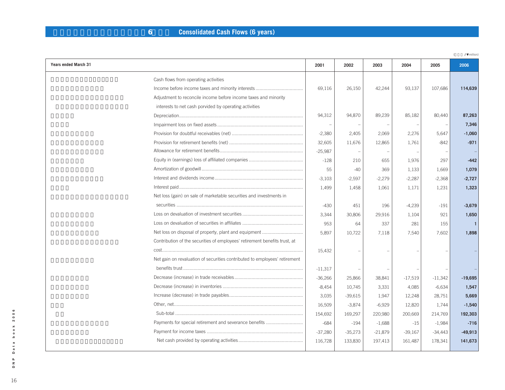# **6 Consolidated Cash Flows (6 years)**

|                                                                            |           |           |           |           |           | /\ million) |
|----------------------------------------------------------------------------|-----------|-----------|-----------|-----------|-----------|-------------|
| Years ended March 31                                                       | 2001      | 2002      | 2003      | 2004      | 2005      | 2006        |
| Cash flows from operating activities                                       |           |           |           |           |           |             |
|                                                                            | 69,116    | 26,150    | 42,244    | 93,137    | 107,686   | 114,639     |
| Adjustment to reconcile income before income taxes and minority            |           |           |           |           |           |             |
| interests to net cash porvided by operating activities                     |           |           |           |           |           |             |
|                                                                            | 94,312    | 94,870    | 89,239    | 85,182    | 80,440    | 87,263      |
|                                                                            |           |           |           |           |           | 7,346       |
|                                                                            | $-2,380$  | 2,405     | 2,069     | 2,276     | 5,647     | $-1,060$    |
|                                                                            | 32,605    | 11,676    | 12,865    | 1,761     | $-842$    | $-971$      |
|                                                                            | $-25,987$ |           |           |           |           |             |
|                                                                            | $-128$    | 210       | 655       | 1,976     | 297       | $-442$      |
|                                                                            | 55        | $-40$     | 369       | 1,133     | 1,669     | 1,079       |
|                                                                            | $-3,103$  | $-2,597$  | $-2,279$  | $-2,287$  | $-2,368$  | $-2,727$    |
|                                                                            | 1,499     | 1,458     | 1,061     | 1,171     | 1,231     | 1,323       |
| Net loss (gain) on sale of marketable securities and investments in        |           |           |           |           |           |             |
|                                                                            | $-430$    | 451       | 196       | $-4,239$  | $-191$    | $-3,679$    |
|                                                                            | 3,344     | 30,806    | 29,916    | 1,104     | 921       | 1,650       |
|                                                                            | 953       | 64        | 337       | 281       | 155       |             |
|                                                                            | 5,897     | 10,722    | 7,118     | 7,540     | 7,602     | 1,898       |
| Contribution of the securities of employees' retirement benefits trust, at |           |           |           |           |           |             |
|                                                                            | 15,432    |           |           |           |           |             |
| Net gain on revaluation of securities contributed to employees' retirement |           |           |           |           |           |             |
|                                                                            | $-11,317$ |           |           |           |           |             |
|                                                                            | $-36,266$ | 25,866    | 38,841    | $-17,519$ | $-11,342$ | $-19,695$   |
|                                                                            | $-8,454$  | 10,745    | 3,331     | 4,085     | $-6,634$  | 1,547       |
|                                                                            | 3,035     | $-39,615$ | 1,947     | 12,248    | 28,751    | 5,669       |
|                                                                            | 16,509    | $-3,874$  | $-6,929$  | 12,820    | 1,744     | $-1,540$    |
|                                                                            | 154,692   | 169,297   | 220,980   | 200,669   | 214,769   | 192,303     |
| Payments for special retirement and severance benefits                     | $-684$    | $-194$    | $-1,688$  | $-15$     | $-1,984$  | $-716$      |
|                                                                            | $-37,280$ | $-35,273$ | $-21,879$ | $-39,167$ | $-34,443$ | $-49,913$   |
|                                                                            | 116,728   | 133,830   | 197,413   | 161,487   | 178,341   | 141,673     |
|                                                                            |           |           |           |           |           |             |

Data book 2006 16**DNP Data book 2006**  $\begin{array}{c}\n\mathbf{P} \\
\mathbf{P} \\
\mathbf{P}\n\end{array}$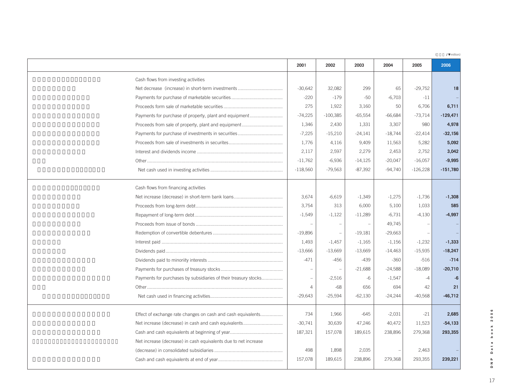(**百万円 / ¥** million)

|                                                                 | 2001                                                                | 2002                                 | 2003      | 2004      | 2005       | 2006       |
|-----------------------------------------------------------------|---------------------------------------------------------------------|--------------------------------------|-----------|-----------|------------|------------|
| Cash flows from investing activities                            |                                                                     |                                      |           |           |            |            |
|                                                                 | $-30,642$                                                           | 32,082                               | 299       | 65        | $-29,752$  | 18         |
|                                                                 | $-220$                                                              | $-179$                               | $-50$     | $-6,703$  | $-11$      |            |
|                                                                 | 275                                                                 | 1,922                                | 3,160     | 50        | 6,706      | 6,711      |
|                                                                 | $-74,225$<br>Payments for purchase of property, plant and equipment | $-100,385$                           | $-65,554$ | $-66,684$ | $-73,714$  | $-129,471$ |
|                                                                 | 1,346<br>Proceeds from sale of property, plant and equipment        | 2,430                                | 1,331     | 3,307     | 980        | 4,978      |
|                                                                 | $-7,225$                                                            | $-15,210$                            | $-24,141$ | $-18,744$ | $-22,414$  | $-32,156$  |
|                                                                 | 1,776                                                               | 4,116                                | 9,409     | 11,563    | 5,282      | 5,092      |
|                                                                 | 2,117                                                               | 2,597                                | 2,279     | 2,453     | 2,752      | 3,042      |
|                                                                 | $-11,762$                                                           | $-6,936$                             | $-14,125$ | $-20,047$ | $-16,057$  | $-9,995$   |
|                                                                 | $-118,560$                                                          | $-79,563$                            | $-87,392$ | $-94,740$ | $-126,228$ | $-151,780$ |
| Cash flows from financing activities                            |                                                                     |                                      |           |           |            |            |
|                                                                 | 3,674                                                               | $-6,619$                             | $-1,349$  | $-1,275$  | $-1,736$   | $-1,308$   |
|                                                                 | 3,754                                                               | 313                                  | 6,000     | 5,100     | 1,033      | 585        |
|                                                                 | $-1,549$                                                            | $-1,122$                             | $-11,289$ | $-6,731$  | $-4,130$   | $-4,997$   |
|                                                                 |                                                                     | $\overline{\phantom{a}}$             |           | 49,745    |            |            |
|                                                                 | $-19,896$                                                           | $\overline{\phantom{a}}$             | $-19,181$ | $-29,663$ |            |            |
|                                                                 | 1,493                                                               | $-1,457$                             | $-1,165$  | $-1,156$  | $-1,232$   | $-1,333$   |
|                                                                 | $-13,666$                                                           | $-13,669$                            | $-13,669$ | $-14,463$ | $-15,935$  | $-18,247$  |
|                                                                 | $-471$                                                              | $-456$                               | $-439$    | $-360$    | $-516$     | $-714$     |
|                                                                 |                                                                     | $\overline{\phantom{a}}$             | $-21,688$ | $-24,588$ | $-18,089$  | $-20,710$  |
|                                                                 | Payments for purchases by subsidiaries of their treasury stocks     | $-2,516$<br>$\overline{\phantom{a}}$ | $-6$      | $-1,547$  | $-4$       | $-6$       |
|                                                                 |                                                                     | $-68$<br>4                           | 656       | 694       | 42         | 21         |
|                                                                 | $-29,643$                                                           | $-25,594$                            | $-62,130$ | $-24,244$ | $-40,568$  | $-46,712$  |
|                                                                 | 734<br>Effect of exchange rate changes on cash and cash equivalents | 1,966                                | $-645$    | $-2,031$  | $-21$      | 2,685      |
|                                                                 | Net increase (decrease) in cash and cash equivalents<br>$-30,741$   | 30,639                               | 47,246    | 40,472    | 11,523     | $-54,133$  |
|                                                                 | 187,321                                                             | 157,078                              | 189,615   | 238,896   | 279,368    | 293,355    |
| Net increase (decrease) in cash equivalents due to net increase |                                                                     |                                      |           |           |            |            |
|                                                                 | 498                                                                 | 1,898                                | 2,035     |           | 2,463      |            |
|                                                                 | 157,078                                                             | 189,615                              | 238,896   | 279,368   | 293,355    | 239,221    |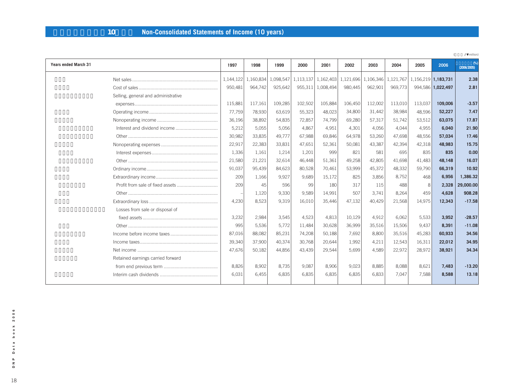# **単体損益計算書(10年間) Non-Consolidated Statements of Income (10 years)**

|                                     |           |           |           |         |                                         |         |         |           |                     |                   | /\ million)      |
|-------------------------------------|-----------|-----------|-----------|---------|-----------------------------------------|---------|---------|-----------|---------------------|-------------------|------------------|
| Years ended March 31                | 1997      | 1998      | 1999      | 2000    | 2001                                    | 2002    | 2003    | 2004      | 2005                | 2006              | %<br>(2006/2005) |
|                                     | 1,144,122 | 1,160,834 | 1,098,547 |         | 1,113,137 1,162,403 1,121,696 1,106,346 |         |         | 1,121,767 | 1,156,219 1,183,731 |                   | 2.38             |
|                                     | 950,481   | 964,742   | 925,642   | 955,311 | 1,008,494                               | 980.445 | 962,901 | 969,773   |                     | 994,586 1,022,497 | 2.81             |
| Selling, general and administrative |           |           |           |         |                                         |         |         |           |                     |                   |                  |
|                                     | 115,881   | 117,161   | 109,285   | 102,502 | 105,884                                 | 106,450 | 112,002 | 113,010   | 113,037             | 109,006           | $-3.57$          |
|                                     | 77,759    | 78,930    | 63,619    | 55,323  | 48,023                                  | 34,800  | 31.442  | 38,984    | 48,596              | 52,227            | 7.47             |
|                                     | 36,196    | 38,892    | 54,835    | 72,857  | 74,799                                  | 69,280  | 57,317  | 51,742    | 53,512              | 63,075            | 17.87            |
|                                     | 5,212     | 5,055     | 5,056     | 4,867   | 4,951                                   | 4,301   | 4,056   | 4.044     | 4,955               | 6,040             | 21.90            |
|                                     | 30,982    | 33,835    | 49,777    | 67,988  | 69,846                                  | 64,978  | 53,260  | 47,698    | 48,556              | 57,034            | 17.46            |
|                                     | 22,917    | 22,383    | 33,831    | 47.651  | 52,361                                  | 50,081  | 43,387  | 42,394    | 42,318              | 48.983            | 15.75            |
|                                     | 1,336     | 1,161     | 1,214     | 1,201   | 999                                     | 821     | 581     | 695       | 835                 | 835               | 0.00             |
|                                     | 21,580    | 21,221    | 32,614    | 46,448  | 51,361                                  | 49,258  | 42,805  | 41,698    | 41,483              | 48,148            | 16.07            |
|                                     | 91,037    | 95,439    | 84,623    | 80,528  | 70,461                                  | 53,999  | 45,372  | 48,332    | 59,790              | 66,319            | 10.92            |
|                                     | 209       | 1,166     | 9,927     | 9,689   | 15,172                                  | 825     | 3,856   | 8.752     | 468                 | 6,956             | 1,386.32         |
| Profit from sale of fixed assets    | 209       | 45        | 596       | 99      | 180                                     | 317     | 115     | 488       | 8                   | 2,328             | 29,000.00        |
|                                     |           | 1,120     | 9,330     | 9,589   | 14,991                                  | 507     | 3,741   | 8,264     | 459                 | 4,628             | 908.28           |
|                                     | 4,230     | 8,523     | 9,319     | 16,010  | 35,446                                  | 47,132  | 40,429  | 21,568    | 14,975              | 12,343            | $-17.58$         |
| Losses from sale or disposal of     |           |           |           |         |                                         |         |         |           |                     |                   |                  |
|                                     | 3,232     | 2,984     | 3,545     | 4,523   | 4,813                                   | 10,129  | 4,912   | 6,062     | 5,533               | 3,952             | $-28.57$         |
|                                     | 995       | 5,536     | 5,772     | 11,484  | 30,628                                  | 36,999  | 35,516  | 15,506    | 9,437               | 8,391             | $-11.08$         |
|                                     | 87,016    | 88,082    | 85,231    | 74,208  | 50,188                                  | 7,692   | 8,800   | 35,516    | 45,283              | 60,933            | 34.56            |
|                                     | 39,340    | 37,900    | 40,374    | 30.768  | 20,644                                  | 1.992   | 4,211   | 12,543    | 16,311              | 22,012            | 34.95            |
|                                     | 47,676    | 50,182    | 44,856    | 43,439  | 29,544                                  | 5,699   | 4,589   | 22,972    | 28,972              | 38,921            | 34.34            |
| Retained earnings carried forward   |           |           |           |         |                                         |         |         |           |                     |                   |                  |
|                                     | 8,826     | 8,902     | 8,735     | 9,087   | 8,906                                   | 9,023   | 8,885   | 8,088     | 8,621               | 7,483             | $-13.20$         |
|                                     | 6.031     | 6.455     | 6.835     | 6.835   | 6.835                                   | 6.835   | 6.833   | 7.047     | 7.588               | 8.588             | 13.18            |
|                                     |           |           |           |         |                                         |         |         |           |                     |                   |                  |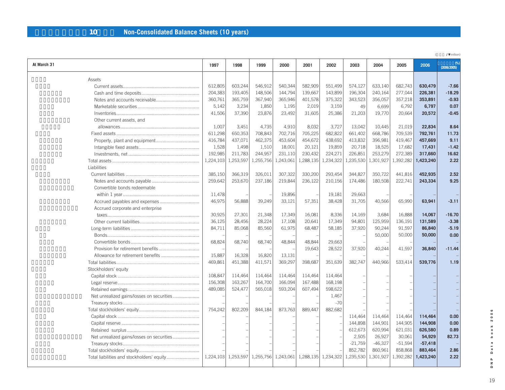| 10 | <b>Non-Consolidated Balance Sheets (10 years)</b> |  |
|----|---------------------------------------------------|--|
|----|---------------------------------------------------|--|

|                                           |           |           |                                                             |           |           |           |           |           |           |           | /\ million) |
|-------------------------------------------|-----------|-----------|-------------------------------------------------------------|-----------|-----------|-----------|-----------|-----------|-----------|-----------|-------------|
| At March 31                               | 1997      | 1998      | 1999                                                        | 2000      | 2001      | 2002      | 2003      | 2004      | 2005      | 2006      | (2006/2005) |
| Assets                                    |           |           |                                                             |           |           |           |           |           |           |           |             |
|                                           | 612,805   | 603,244   | 546,912                                                     | 540,344   | 582,909   | 551,499   | 574,127   | 633,140   | 682,743   | 630,479   | $-7.66$     |
|                                           | 204,383   | 193,405   | 148,506                                                     | 144,794   | 139,667   | 143,899   | 196,304   | 240,164   | 277,044   | 226,381   | $-18.29$    |
|                                           | 360,761   | 365,759   | 367,940                                                     | 365,946   | 401,578   | 375,322   | 343,523   | 356,057   | 357,218   | 353,891   | $-0.93$     |
|                                           | 5,142     | 3,234     | 1,850                                                       | 1,195     | 2,019     | 3,159     | 49        | 6,699     | 6,792     | 6,797     | 0.07        |
|                                           | 41,506    | 37,390    | 23,876                                                      | 23,492    | 31,605    | 25,386    | 21,203    | 19,770    | 20,664    | 20,572    | $-0.45$     |
| Other current assets, and                 |           |           |                                                             |           |           |           |           |           |           |           |             |
|                                           | 1.007     | 3.451     | 4.735                                                       | 4,910     | 8.032     | 3,727     | 13,042    | 10.445    | 21,019    | 22.834    | 8.64        |
|                                           | 611,298   | 650,353   | 708,843                                                     | 702,716   | 705,225   | 682,822   | 661,402   | 668,786   | 709,539   | 792,761   | 11.73       |
|                                           | 416,784   | 437,071   | 462,375                                                     | 453,604   | 454,672   | 438,692   | 413,832   | 396,981   | 419,467   | 457,669   | 9.11        |
|                                           | 1,528     | 1,498     | 1,510                                                       | 18,001    | 20,121    | 19,859    | 20,718    | 18,525    | 17,682    | 17,431    | $-1.42$     |
|                                           | 192,985   | 211,783   | 244,957                                                     | 231,110   | 230,432   | 224,271   | 226,851   | 253,279   | 272,389   | 317,660   | 16.62       |
|                                           | 1,224,103 | 1,253,597 | 1,255,756                                                   | 1,243,061 | 1,288,135 | 1,234,322 | 1,235,530 | 1,301,927 | 1,392,282 | 1,423,240 | 2.22        |
| Liabilities                               |           |           |                                                             |           |           |           |           |           |           |           |             |
|                                           | 385,150   | 366,319   | 326,011                                                     | 307,322   | 330,200   | 293,454   | 344,827   | 350,722   | 441,816   | 452,935   | 2.52        |
|                                           | 259,642   | 253,670   | 237,186                                                     | 219,844   | 236,122   | 210,156   | 174,486   | 180,508   | 222,741   | 243,334   | 9.25        |
| Convertible bonds redeemable              |           |           |                                                             |           |           |           |           |           |           |           |             |
|                                           | 11,478    |           |                                                             | 19,896    |           | 19,181    | 29,663    |           |           |           |             |
| Accrued payables and expenses             | 46,975    | 56,888    | 39,249                                                      | 33,121    | 57,351    | 38,428    | 31,705    | 40,566    | 65,990    | 63,941    | $-3.11$     |
| Accrued corporate and enterprise          |           |           |                                                             |           |           |           |           |           |           |           |             |
|                                           | 30,925    | 27,301    | 21,348                                                      | 17,349    | 16,081    | 8,336     | 14,169    | 3,684     | 16,888    | 14,067    | $-16.70$    |
|                                           | 36,125    | 28,456    | 28,224                                                      | 17,108    | 20,641    | 17,349    | 94,801    | 125,959   | 136,191   | 131,589   | $-3.38$     |
|                                           | 84,711    | 85,068    | 85,560                                                      | 61,975    | 68,487    | 58,185    | 37,920    | 90,244    | 91,597    | 86,840    | $-5.19$     |
|                                           |           |           |                                                             |           |           |           |           | 50,000    | 50,000    | 50,000    | 0.00        |
|                                           | 68,824    | 68,740    | 68,740                                                      | 48,844    | 48,844    | 29,663    |           |           |           |           |             |
|                                           |           |           |                                                             |           | 19,643    | 28,522    | 37,920    | 40,244    | 41,597    | 36,840    | $-11.44$    |
|                                           | 15,887    | 16,328    | 16,820                                                      | 13,131    |           |           |           |           |           |           |             |
|                                           | 469,861   | 451,388   | 411,571                                                     | 369,297   | 398,687   | 351,639   | 382,747   | 440.966   | 533,414   | 539,776   | 1.19        |
| Stockholders' equity                      |           |           |                                                             |           |           |           |           |           |           |           |             |
|                                           | 108,847   | 114,464   | 114,464                                                     | 114,464   | 114,464   | 114,464   |           |           |           |           |             |
|                                           | 156,308   | 163,267   | 164,700                                                     | 166,094   | 167,488   | 168,198   |           |           |           |           |             |
|                                           | 489,085   | 524,477   | 565,018                                                     | 593,204   | 607,494   | 598,622   |           |           |           |           |             |
| Net unrealized gains/losses on securities |           |           |                                                             |           |           | 1,467     |           |           |           |           |             |
|                                           |           |           |                                                             |           |           | $-70$     |           |           |           |           |             |
|                                           | 754,242   | 802,209   | 844,184                                                     | 873,763   | 889,447   | 882,682   |           |           |           |           |             |
|                                           |           |           |                                                             |           |           |           | 114,464   | 114,464   | 114,464   | 114,464   | 0.00        |
|                                           |           |           |                                                             |           |           |           | 144,898   | 144,901   | 144,905   | 144,908   | 0.00        |
|                                           |           |           |                                                             |           |           |           | 612,673   | 620,994   | 621,031   | 626,580   | 0.89        |
| Net unrealized gains/losses on securities |           |           |                                                             |           |           |           | 2,505     | 26,927    | 30,061    | 54,929    | 82.73       |
|                                           |           |           |                                                             |           |           |           | $-21,759$ | $-46,327$ | $-51,594$ | $-57,418$ |             |
|                                           |           |           |                                                             |           |           |           | 852,782   | 860,961   | 858,868   | 883,464   | 2.86        |
|                                           |           |           | 1,224,103 1,253,597 1,255,756 1,243,061 1,288,135 1,234,322 |           |           |           | 1,235,530 | 1,301,927 | 1,392,282 | 1,423,240 | 2.22        |
|                                           |           |           |                                                             |           |           |           |           |           |           |           |             |

Data book 2006 19**DNP Data book 2006**  $\begin{array}{c} \mathsf{p} \\ \mathsf{p} \end{array}$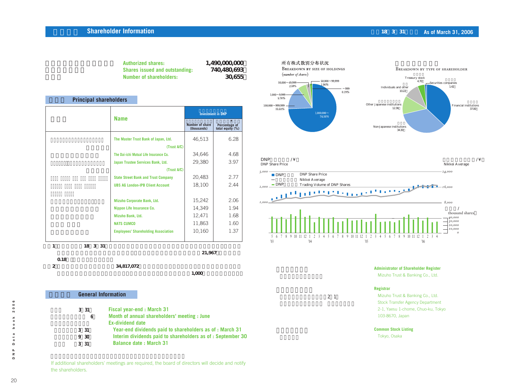#### **Shareholder Information 1.2006 <b>CONSIDERED AS OF MARKET AND ASSESSMENT AS A REPORT OF THE ASSESSMENT AS OF MARCH 31, 2006**

37.00

入

| <b>Authorized shares:</b>             | 1.490,000,000 |
|---------------------------------------|---------------|
| <b>Shares issued and outstanding:</b> | 740,480,693   |
| Number of shareholders:               | 30.655        |

#### **Principal shareholders**

|                                            | <b>Investment in DNP</b>       |                                   |  |  |  |
|--------------------------------------------|--------------------------------|-----------------------------------|--|--|--|
| <b>Name</b>                                | Number of share<br>(thousands) | Percentage of<br>total equity (%) |  |  |  |
| The Master Trust Bank of Japan, Ltd.       | 46,513                         | 6.28                              |  |  |  |
| (Trust A/C)                                |                                |                                   |  |  |  |
| The Dai-ichi Mutual Life Insurance Co.     | 34,646                         | 4.68                              |  |  |  |
| Japan Trustee Services Bank, Ltd.          | 29,380                         | 3.97                              |  |  |  |
| (Trust A/C)                                |                                |                                   |  |  |  |
| <b>State Street Bank and Trust Company</b> | 20,483                         | 2.77                              |  |  |  |
| <b>UBS AG London-IPB Client Account</b>    | 18,100                         | 2.44                              |  |  |  |
|                                            |                                |                                   |  |  |  |
| Mizuho Corporate Bank, Ltd.                | 15,242                         | 2.06                              |  |  |  |
| Nippon Life Insurance Co.                  | 14,349                         | 1.94                              |  |  |  |
| Mizuho Bank, Ltd.                          | 12,471                         | 1.68                              |  |  |  |
| <b>NATS CUMCO</b>                          | 11,863                         | 1.60                              |  |  |  |
| <b>Employees' Shareholding Association</b> | 10,160                         | 1.37                              |  |  |  |
|                                            |                                |                                   |  |  |  |

**(注1)当社は、平成18年3月31日現在、株式会社みずほ銀行及び株式会社みずほコーポレート銀行の**

0.18

**金融持株会社である株式会社みずほフィナンシャルグループの普通株式21,967株(出資比率**

**(注2)上記表以外に当社は自己株式34,817,072株を保有しております。なお、当該株式数には、株主 名簿上は当社名義となっていますが、実質的に所有していない株式が1,000株含まれております。**

**General Information** 

| $3 \quad 31$ | <b>Fiscal year-end: March 31</b>                           |
|--------------|------------------------------------------------------------|
| 6            | Month of annual shareholders' meeting: June                |
|              | <b>Ex-dividend date</b>                                    |
| $3 \quad 31$ | Year-end dividends paid to shareholders as of: March 31    |
| 9 30         | Interim dividends paid to shareholders as of: September 30 |
| 3 31         | <b>Balance date: March 31</b>                              |





*1,000*

*2,000*

*3,000*





| <b>Administrator of Shareholder Register</b> |
|----------------------------------------------|
| Mizuho Trust & Banking Co., Ltd.             |

**Registrar** Mizuho Trust & Banking Co., Ltd.

2 1

Stock Transfer Agency Department 2-1, Yaesu 1-chome, Chuo-ku, Tokyo 103-8670, Japan

**Common Stock Listing**

Tokyo, Osaka

If additional shareholders' meetings are required, the board of directors will decide and notify the shareholders.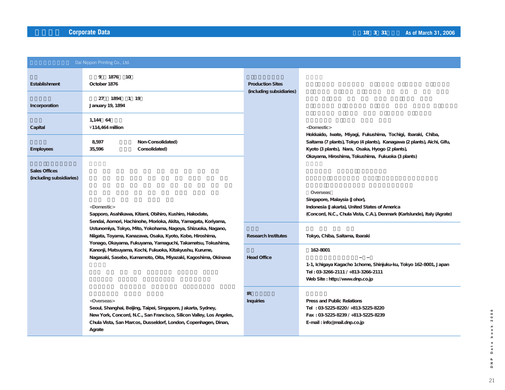|                                                  | Dai Nippon Printing Co., Ltd.                                                                                                                                                                                                                                                                                                                                                           |                                                     |                                                                                                                                                                                  |
|--------------------------------------------------|-----------------------------------------------------------------------------------------------------------------------------------------------------------------------------------------------------------------------------------------------------------------------------------------------------------------------------------------------------------------------------------------|-----------------------------------------------------|----------------------------------------------------------------------------------------------------------------------------------------------------------------------------------|
| Establishment                                    | 9 1876<br>10<br>October 1876                                                                                                                                                                                                                                                                                                                                                            | <b>Production Sites</b><br>(including subsidiaries) |                                                                                                                                                                                  |
| Incorporation                                    | 1894 1 19<br>27<br>January 19, 1894                                                                                                                                                                                                                                                                                                                                                     |                                                     |                                                                                                                                                                                  |
| Capital                                          | 1,144 64<br>¥114,464 million                                                                                                                                                                                                                                                                                                                                                            |                                                     | <domestic><br/>Hokkaido, Iwate, Miyagi, Fukushima, Tochigi, Ibaraki, Chiba,</domestic>                                                                                           |
| Employees                                        | Non-Consolidated)<br>8,597<br>35,596<br>Consolidated)                                                                                                                                                                                                                                                                                                                                   |                                                     | Saitama (7 plants), Tokyo (4 plants), Kanagawa (2 plants), Aichi, Gifu,<br>Kyoto (3 plants), Nara, Osaka, Hyogo (2 plants),<br>Okayama, Hiroshima, Tokushima, Fukuoka (3 plants) |
| <b>Sales Offices</b><br>(including subsidiaries) |                                                                                                                                                                                                                                                                                                                                                                                         |                                                     |                                                                                                                                                                                  |
|                                                  | <domestic><br/>Sapporo, Asahikawa, Kitami, Obihiro, Kushiro, Hakodate,</domestic>                                                                                                                                                                                                                                                                                                       |                                                     | Overseas<br>Singapore, Malaysia (Johor),<br>Indonesia (Jakarta), United States of America<br>(Concord, N.C., Chula Vista, C.A.), Denmark (Karlslunde), Italy (Agrate)            |
|                                                  | Sendai, Aomori, Hachinohe, Morioka, Akita, Yamagata, Koriyama,<br>Ustunomiya, Tokyo, Mito, Yokohama, Nagoya, Shizuoka, Nagano,<br>Niigata, Toyama, Kanazawa, Osaka, Kyoto, Kobe, Hiroshima,<br>Yonago, Okayama, Fukuyama, Yamaguchi, Takamatsu, Tokushima,<br>Kanonji, Matsuyama, Kochi, Fukuoka, Kitakyushu, Kurume,<br>Nagasaki, Sasebo, Kumamoto, Oita, Miyazaki, Kagoshima, Okinawa | <b>Research Institutes</b>                          | Tokyo, Chiba, Saitama, Ibaraki                                                                                                                                                   |
|                                                  |                                                                                                                                                                                                                                                                                                                                                                                         | <b>Head Office</b>                                  | 162-8001                                                                                                                                                                         |
|                                                  |                                                                                                                                                                                                                                                                                                                                                                                         |                                                     | 1-1, Ichigaya Kagacho 1chome, Shinjuku-ku, Tokyo 162-8001, Japan<br>Tel: 03-3266-2111 / +813-3266-2111<br>Web Site: http://www.dnp.co.jp                                         |
|                                                  | <overseas><br/>Seoul, Shanghai, Beijing, Taipei, Singapore, Jakarta, Sydney,<br/>New York, Concord, N.C., San Francisco, Silicon Valley, Los Angeles,<br/>Chula Vista, San Marcos, Dusseldorf, London, Copenhagen, Dinan,<br/>Agrate</overseas>                                                                                                                                         | IR<br><b>Inquiries</b>                              | Press and Public Relations<br>Tel: 03-5225-8220/+813-5225-8220<br>Fax: 03-5225-8239 / +813-5225-8239<br>E-mail: info@mail.dnp.co.jp                                              |